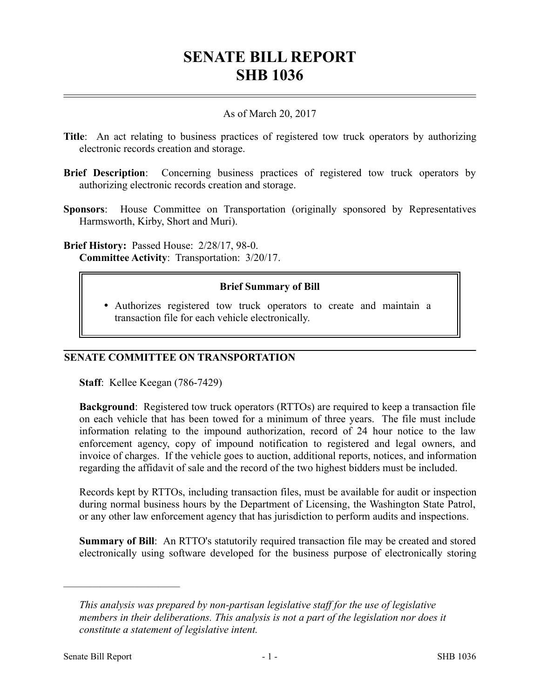# **SENATE BILL REPORT SHB 1036**

## As of March 20, 2017

- **Title**: An act relating to business practices of registered tow truck operators by authorizing electronic records creation and storage.
- **Brief Description:** Concerning business practices of registered tow truck operators by authorizing electronic records creation and storage.
- **Sponsors**: House Committee on Transportation (originally sponsored by Representatives Harmsworth, Kirby, Short and Muri).

**Brief History:** Passed House: 2/28/17, 98-0. **Committee Activity**: Transportation: 3/20/17.

## **Brief Summary of Bill**

 Authorizes registered tow truck operators to create and maintain a transaction file for each vehicle electronically.

### **SENATE COMMITTEE ON TRANSPORTATION**

**Staff**: Kellee Keegan (786-7429)

**Background**: Registered tow truck operators (RTTOs) are required to keep a transaction file on each vehicle that has been towed for a minimum of three years. The file must include information relating to the impound authorization, record of 24 hour notice to the law enforcement agency, copy of impound notification to registered and legal owners, and invoice of charges. If the vehicle goes to auction, additional reports, notices, and information regarding the affidavit of sale and the record of the two highest bidders must be included.

Records kept by RTTOs, including transaction files, must be available for audit or inspection during normal business hours by the Department of Licensing, the Washington State Patrol, or any other law enforcement agency that has jurisdiction to perform audits and inspections.

**Summary of Bill**: An RTTO's statutorily required transaction file may be created and stored electronically using software developed for the business purpose of electronically storing

––––––––––––––––––––––

*This analysis was prepared by non-partisan legislative staff for the use of legislative members in their deliberations. This analysis is not a part of the legislation nor does it constitute a statement of legislative intent.*